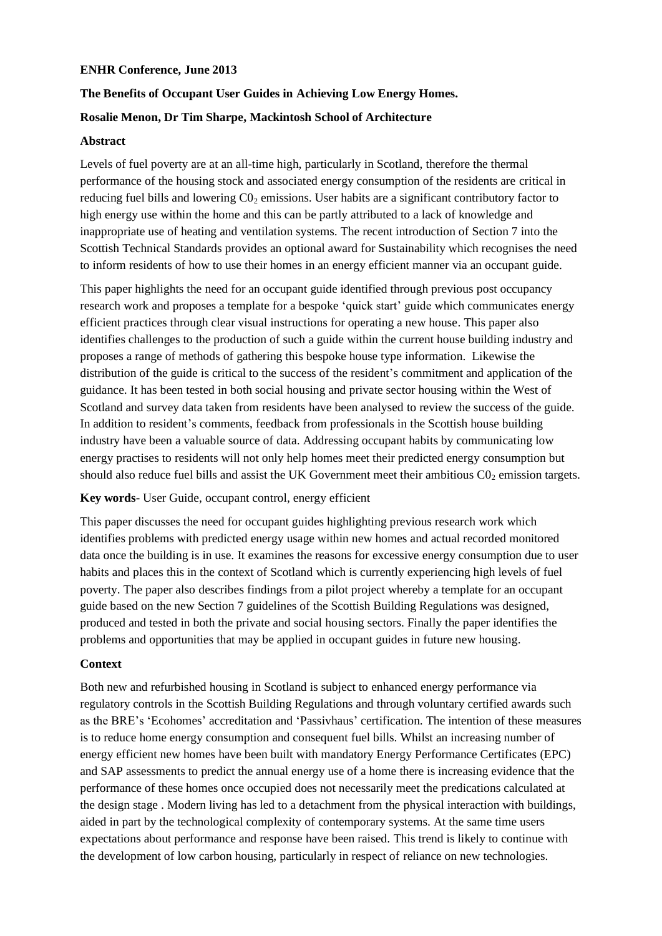## **ENHR Conference, June 2013**

# **The Benefits of Occupant User Guides in Achieving Low Energy Homes.**

# **Rosalie Menon, Dr Tim Sharpe, Mackintosh School of Architecture**

## **Abstract**

Levels of fuel poverty are at an all-time high, particularly in Scotland, therefore the thermal performance of the housing stock and associated energy consumption of the residents are critical in reducing fuel bills and lowering  $C_0$  emissions. User habits are a significant contributory factor to high energy use within the home and this can be partly attributed to a lack of knowledge and inappropriate use of heating and ventilation systems. The recent introduction of Section 7 into the Scottish Technical Standards provides an optional award for Sustainability which recognises the need to inform residents of how to use their homes in an energy efficient manner via an occupant guide.

This paper highlights the need for an occupant guide identified through previous post occupancy research work and proposes a template for a bespoke 'quick start' guide which communicates energy efficient practices through clear visual instructions for operating a new house. This paper also identifies challenges to the production of such a guide within the current house building industry and proposes a range of methods of gathering this bespoke house type information. Likewise the distribution of the guide is critical to the success of the resident's commitment and application of the guidance. It has been tested in both social housing and private sector housing within the West of Scotland and survey data taken from residents have been analysed to review the success of the guide. In addition to resident's comments, feedback from professionals in the Scottish house building industry have been a valuable source of data. Addressing occupant habits by communicating low energy practises to residents will not only help homes meet their predicted energy consumption but should also reduce fuel bills and assist the UK Government meet their ambitious  $CO<sub>2</sub>$  emission targets.

### **Key words-** User Guide, occupant control, energy efficient

This paper discusses the need for occupant guides highlighting previous research work which identifies problems with predicted energy usage within new homes and actual recorded monitored data once the building is in use. It examines the reasons for excessive energy consumption due to user habits and places this in the context of Scotland which is currently experiencing high levels of fuel poverty. The paper also describes findings from a pilot project whereby a template for an occupant guide based on the new Section 7 guidelines of the Scottish Building Regulations was designed, produced and tested in both the private and social housing sectors. Finally the paper identifies the problems and opportunities that may be applied in occupant guides in future new housing.

### **Context**

Both new and refurbished housing in Scotland is subject to enhanced energy performance via regulatory controls in the Scottish Building Regulations and through voluntary certified awards such as the BRE's 'Ecohomes' accreditation and 'Passivhaus' certification. The intention of these measures is to reduce home energy consumption and consequent fuel bills. Whilst an increasing number of energy efficient new homes have been built with mandatory Energy Performance Certificates (EPC) and SAP assessments to predict the annual energy use of a home there is increasing evidence that the performance of these homes once occupied does not necessarily meet the predications calculated at the design stage . Modern living has led to a detachment from the physical interaction with buildings, aided in part by the technological complexity of contemporary systems. At the same time users expectations about performance and response have been raised. This trend is likely to continue with the development of low carbon housing, particularly in respect of reliance on new technologies.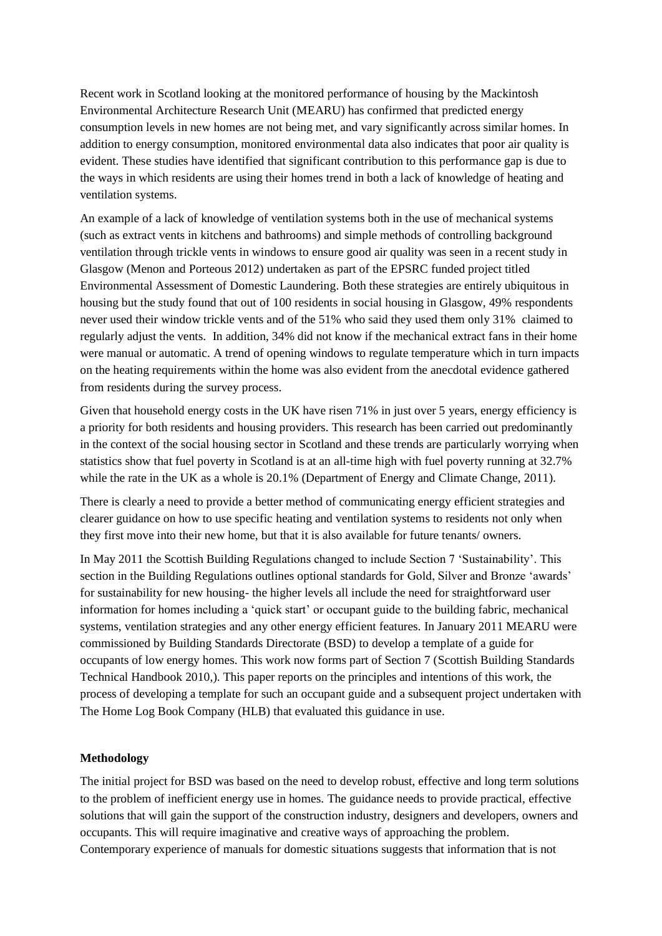Recent work in Scotland looking at the monitored performance of housing by the Mackintosh Environmental Architecture Research Unit (MEARU) has confirmed that predicted energy consumption levels in new homes are not being met, and vary significantly across similar homes. In addition to energy consumption, monitored environmental data also indicates that poor air quality is evident. These studies have identified that significant contribution to this performance gap is due to the ways in which residents are using their homes trend in both a lack of knowledge of heating and ventilation systems.

An example of a lack of knowledge of ventilation systems both in the use of mechanical systems (such as extract vents in kitchens and bathrooms) and simple methods of controlling background ventilation through trickle vents in windows to ensure good air quality was seen in a recent study in Glasgow (Menon and Porteous 2012) undertaken as part of the EPSRC funded project titled Environmental Assessment of Domestic Laundering. Both these strategies are entirely ubiquitous in housing but the study found that out of 100 residents in social housing in Glasgow, 49% respondents never used their window trickle vents and of the 51% who said they used them only 31% claimed to regularly adjust the vents. In addition, 34% did not know if the mechanical extract fans in their home were manual or automatic. A trend of opening windows to regulate temperature which in turn impacts on the heating requirements within the home was also evident from the anecdotal evidence gathered from residents during the survey process.

Given that household energy costs in the UK have risen 71% in just over 5 years, energy efficiency is a priority for both residents and housing providers. This research has been carried out predominantly in the context of the social housing sector in Scotland and these trends are particularly worrying when statistics show that fuel poverty in Scotland is at an all-time high with fuel poverty running at 32.7% while the rate in the UK as a whole is 20.1% (Department of Energy and Climate Change, 2011).

There is clearly a need to provide a better method of communicating energy efficient strategies and clearer guidance on how to use specific heating and ventilation systems to residents not only when they first move into their new home, but that it is also available for future tenants/ owners.

In May 2011 the Scottish Building Regulations changed to include Section 7 'Sustainability'. This section in the Building Regulations outlines optional standards for Gold, Silver and Bronze 'awards' for sustainability for new housing- the higher levels all include the need for straightforward user information for homes including a 'quick start' or occupant guide to the building fabric, mechanical systems, ventilation strategies and any other energy efficient features. In January 2011 MEARU were commissioned by Building Standards Directorate (BSD) to develop a template of a guide for occupants of low energy homes. This work now forms part of Section 7 (Scottish Building Standards Technical Handbook 2010,). This paper reports on the principles and intentions of this work, the process of developing a template for such an occupant guide and a subsequent project undertaken with The Home Log Book Company (HLB) that evaluated this guidance in use.

### **Methodology**

The initial project for BSD was based on the need to develop robust, effective and long term solutions to the problem of inefficient energy use in homes. The guidance needs to provide practical, effective solutions that will gain the support of the construction industry, designers and developers, owners and occupants. This will require imaginative and creative ways of approaching the problem. Contemporary experience of manuals for domestic situations suggests that information that is not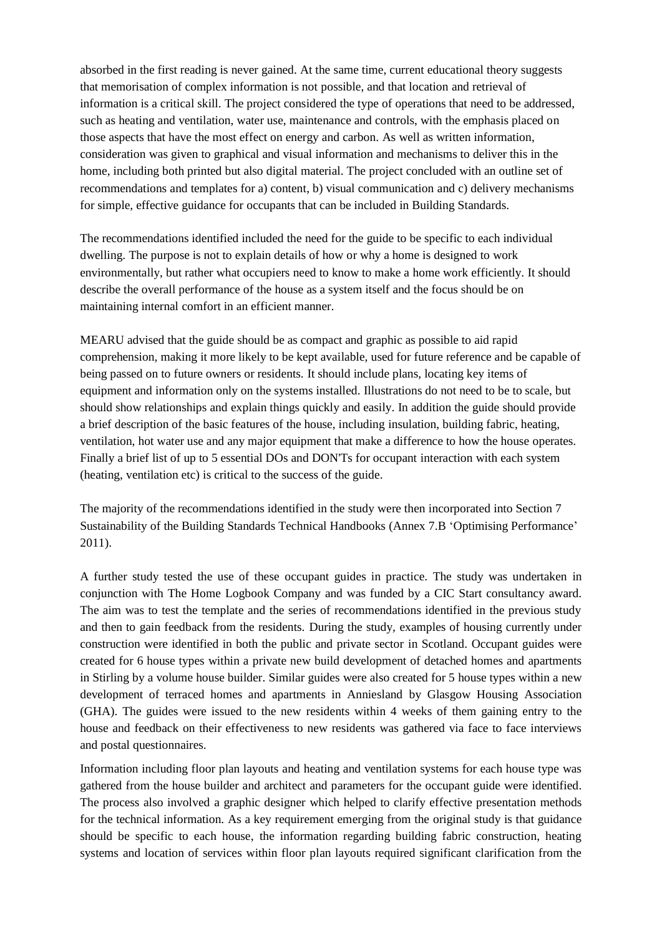absorbed in the first reading is never gained. At the same time, current educational theory suggests that memorisation of complex information is not possible, and that location and retrieval of information is a critical skill. The project considered the type of operations that need to be addressed, such as heating and ventilation, water use, maintenance and controls, with the emphasis placed on those aspects that have the most effect on energy and carbon. As well as written information, consideration was given to graphical and visual information and mechanisms to deliver this in the home, including both printed but also digital material. The project concluded with an outline set of recommendations and templates for a) content, b) visual communication and c) delivery mechanisms for simple, effective guidance for occupants that can be included in Building Standards.

The recommendations identified included the need for the guide to be specific to each individual dwelling. The purpose is not to explain details of how or why a home is designed to work environmentally, but rather what occupiers need to know to make a home work efficiently. It should describe the overall performance of the house as a system itself and the focus should be on maintaining internal comfort in an efficient manner.

MEARU advised that the guide should be as compact and graphic as possible to aid rapid comprehension, making it more likely to be kept available, used for future reference and be capable of being passed on to future owners or residents. It should include plans, locating key items of equipment and information only on the systems installed. Illustrations do not need to be to scale, but should show relationships and explain things quickly and easily. In addition the guide should provide a brief description of the basic features of the house, including insulation, building fabric, heating, ventilation, hot water use and any major equipment that make a difference to how the house operates. Finally a brief list of up to 5 essential DOs and DON'Ts for occupant interaction with each system (heating, ventilation etc) is critical to the success of the guide.

The majority of the recommendations identified in the study were then incorporated into Section 7 Sustainability of the Building Standards Technical Handbooks (Annex 7.B 'Optimising Performance' 2011).

A further study tested the use of these occupant guides in practice. The study was undertaken in conjunction with The Home Logbook Company and was funded by a CIC Start consultancy award. The aim was to test the template and the series of recommendations identified in the previous study and then to gain feedback from the residents. During the study, examples of housing currently under construction were identified in both the public and private sector in Scotland. Occupant guides were created for 6 house types within a private new build development of detached homes and apartments in Stirling by a volume house builder. Similar guides were also created for 5 house types within a new development of terraced homes and apartments in Anniesland by Glasgow Housing Association (GHA). The guides were issued to the new residents within 4 weeks of them gaining entry to the house and feedback on their effectiveness to new residents was gathered via face to face interviews and postal questionnaires.

Information including floor plan layouts and heating and ventilation systems for each house type was gathered from the house builder and architect and parameters for the occupant guide were identified. The process also involved a graphic designer which helped to clarify effective presentation methods for the technical information. As a key requirement emerging from the original study is that guidance should be specific to each house, the information regarding building fabric construction, heating systems and location of services within floor plan layouts required significant clarification from the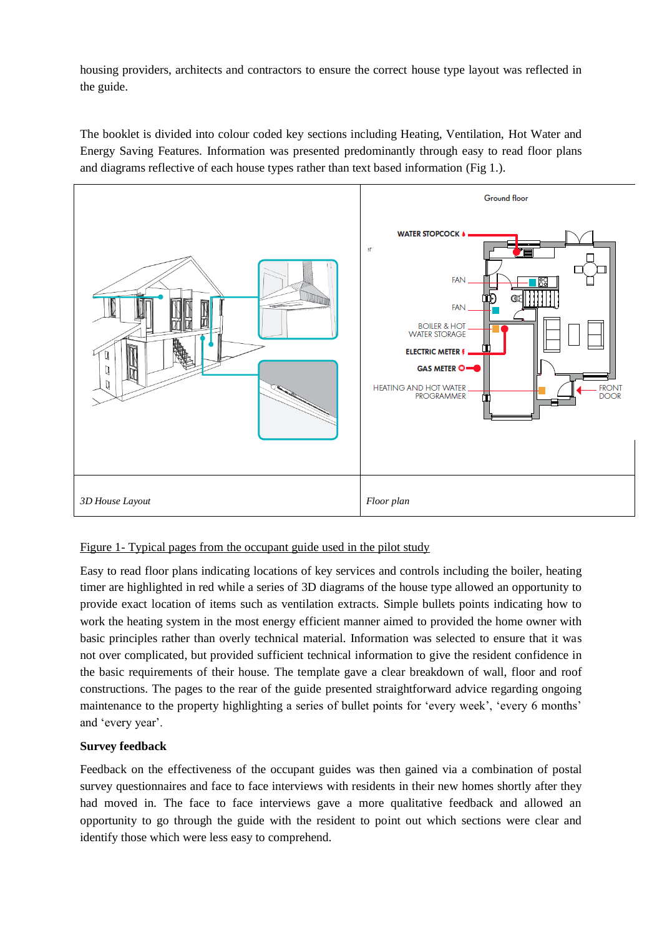housing providers, architects and contractors to ensure the correct house type layout was reflected in the guide.

The booklet is divided into colour coded key sections including Heating, Ventilation, Hot Water and Energy Saving Features. Information was presented predominantly through easy to read floor plans and diagrams reflective of each house types rather than text based information (Fig 1.).



# Figure 1- Typical pages from the occupant guide used in the pilot study

Easy to read floor plans indicating locations of key services and controls including the boiler, heating timer are highlighted in red while a series of 3D diagrams of the house type allowed an opportunity to provide exact location of items such as ventilation extracts. Simple bullets points indicating how to work the heating system in the most energy efficient manner aimed to provided the home owner with basic principles rather than overly technical material. Information was selected to ensure that it was not over complicated, but provided sufficient technical information to give the resident confidence in the basic requirements of their house. The template gave a clear breakdown of wall, floor and roof constructions. The pages to the rear of the guide presented straightforward advice regarding ongoing maintenance to the property highlighting a series of bullet points for 'every week', 'every 6 months' and 'every year'.

# **Survey feedback**

Feedback on the effectiveness of the occupant guides was then gained via a combination of postal survey questionnaires and face to face interviews with residents in their new homes shortly after they had moved in. The face to face interviews gave a more qualitative feedback and allowed an opportunity to go through the guide with the resident to point out which sections were clear and identify those which were less easy to comprehend.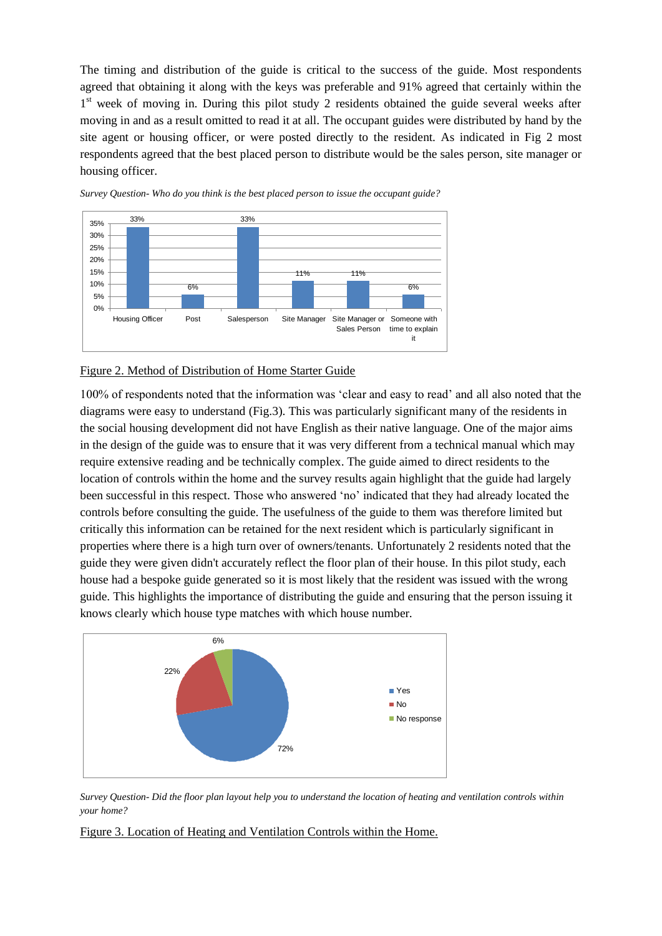The timing and distribution of the guide is critical to the success of the guide. Most respondents agreed that obtaining it along with the keys was preferable and 91% agreed that certainly within the 1<sup>st</sup> week of moving in. During this pilot study 2 residents obtained the guide several weeks after moving in and as a result omitted to read it at all. The occupant guides were distributed by hand by the site agent or housing officer, or were posted directly to the resident. As indicated in Fig 2 most respondents agreed that the best placed person to distribute would be the sales person, site manager or housing officer.



*Survey Question- Who do you think is the best placed person to issue the occupant guide?* 

### Figure 2. Method of Distribution of Home Starter Guide

100% of respondents noted that the information was 'clear and easy to read' and all also noted that the diagrams were easy to understand (Fig.3). This was particularly significant many of the residents in the social housing development did not have English as their native language. One of the major aims in the design of the guide was to ensure that it was very different from a technical manual which may require extensive reading and be technically complex. The guide aimed to direct residents to the location of controls within the home and the survey results again highlight that the guide had largely been successful in this respect. Those who answered 'no' indicated that they had already located the controls before consulting the guide. The usefulness of the guide to them was therefore limited but critically this information can be retained for the next resident which is particularly significant in properties where there is a high turn over of owners/tenants. Unfortunately 2 residents noted that the guide they were given didn't accurately reflect the floor plan of their house. In this pilot study, each house had a bespoke guide generated so it is most likely that the resident was issued with the wrong guide. This highlights the importance of distributing the guide and ensuring that the person issuing it knows clearly which house type matches with which house number.



*Survey Question- Did the floor plan layout help you to understand the location of heating and ventilation controls within your home?*

Figure 3. Location of Heating and Ventilation Controls within the Home.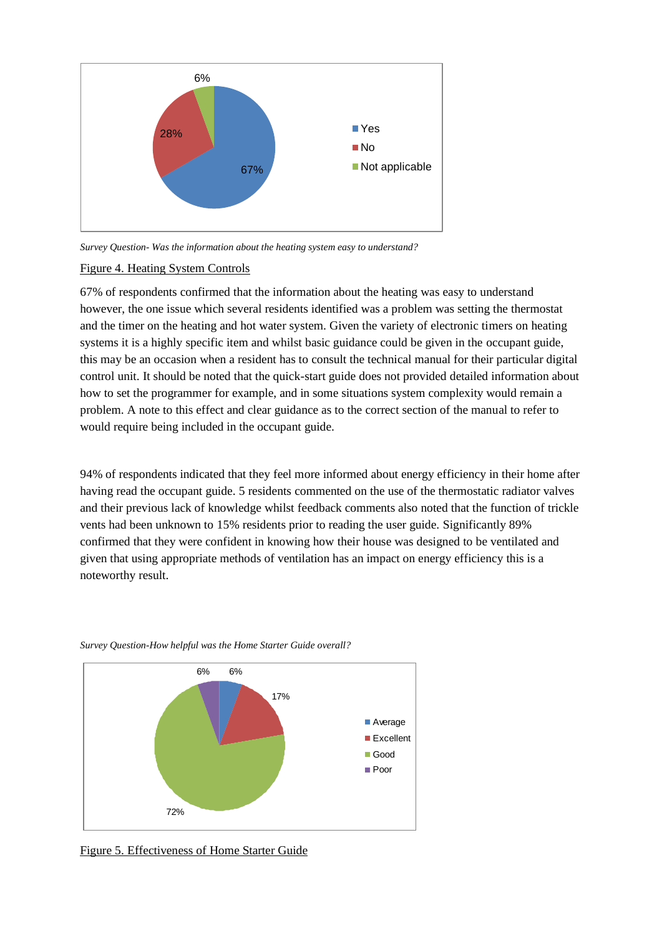

*Survey Question- Was the information about the heating system easy to understand?*

## Figure 4. Heating System Controls

67% of respondents confirmed that the information about the heating was easy to understand however, the one issue which several residents identified was a problem was setting the thermostat and the timer on the heating and hot water system. Given the variety of electronic timers on heating systems it is a highly specific item and whilst basic guidance could be given in the occupant guide, this may be an occasion when a resident has to consult the technical manual for their particular digital control unit. It should be noted that the quick-start guide does not provided detailed information about how to set the programmer for example, and in some situations system complexity would remain a problem. A note to this effect and clear guidance as to the correct section of the manual to refer to would require being included in the occupant guide.

94% of respondents indicated that they feel more informed about energy efficiency in their home after having read the occupant guide. 5 residents commented on the use of the thermostatic radiator valves and their previous lack of knowledge whilst feedback comments also noted that the function of trickle vents had been unknown to 15% residents prior to reading the user guide. Significantly 89% confirmed that they were confident in knowing how their house was designed to be ventilated and given that using appropriate methods of ventilation has an impact on energy efficiency this is a noteworthy result.



*Survey Question-How helpful was the Home Starter Guide overall?*

Figure 5. Effectiveness of Home Starter Guide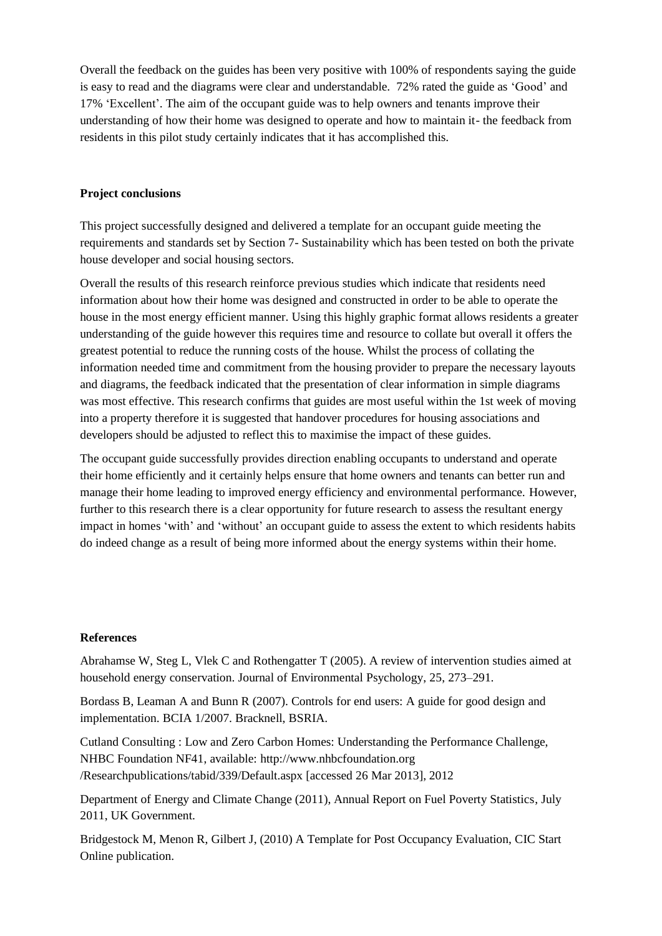Overall the feedback on the guides has been very positive with 100% of respondents saying the guide is easy to read and the diagrams were clear and understandable. 72% rated the guide as 'Good' and 17% 'Excellent'. The aim of the occupant guide was to help owners and tenants improve their understanding of how their home was designed to operate and how to maintain it- the feedback from residents in this pilot study certainly indicates that it has accomplished this.

## **Project conclusions**

This project successfully designed and delivered a template for an occupant guide meeting the requirements and standards set by Section 7- Sustainability which has been tested on both the private house developer and social housing sectors.

Overall the results of this research reinforce previous studies which indicate that residents need information about how their home was designed and constructed in order to be able to operate the house in the most energy efficient manner. Using this highly graphic format allows residents a greater understanding of the guide however this requires time and resource to collate but overall it offers the greatest potential to reduce the running costs of the house. Whilst the process of collating the information needed time and commitment from the housing provider to prepare the necessary layouts and diagrams, the feedback indicated that the presentation of clear information in simple diagrams was most effective. This research confirms that guides are most useful within the 1st week of moving into a property therefore it is suggested that handover procedures for housing associations and developers should be adjusted to reflect this to maximise the impact of these guides.

The occupant guide successfully provides direction enabling occupants to understand and operate their home efficiently and it certainly helps ensure that home owners and tenants can better run and manage their home leading to improved energy efficiency and environmental performance. However, further to this research there is a clear opportunity for future research to assess the resultant energy impact in homes 'with' and 'without' an occupant guide to assess the extent to which residents habits do indeed change as a result of being more informed about the energy systems within their home.

## **References**

Abrahamse W, Steg L, Vlek C and Rothengatter T (2005). A review of intervention studies aimed at household energy conservation. Journal of Environmental Psychology, 25, 273–291.

Bordass B, Leaman A and Bunn R (2007). Controls for end users: A guide for good design and implementation. BCIA 1/2007. Bracknell, BSRIA.

Cutland Consulting : Low and Zero Carbon Homes: Understanding the Performance Challenge, NHBC Foundation NF41, available: [http://www.nhbcfoundation.org](http://www.nhbcfoundation.org/) /Researchpublications/tabid/339/Default.aspx [accessed 26 Mar 2013], 2012

Department of Energy and Climate Change (2011), Annual Report on Fuel Poverty Statistics, July 2011, UK Government.

Bridgestock M, Menon R, Gilbert J, (2010) A Template for Post Occupancy Evaluation, CIC Start Online publication.